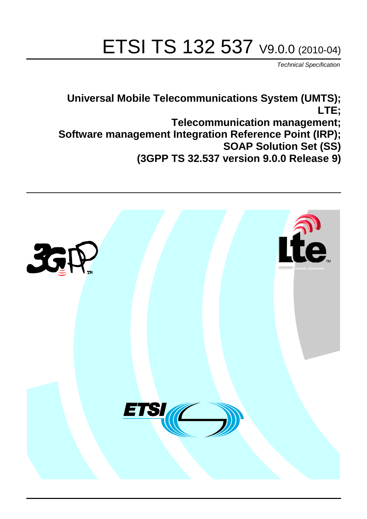# ETSI TS 132 537 V9.0.0 (2010-04)

*Technical Specification*

**Universal Mobile Telecommunications System (UMTS); LTE; Telecommunication management; Software management Integration Reference Point (IRP); SOAP Solution Set (SS) (3GPP TS 32.537 version 9.0.0 Release 9)**

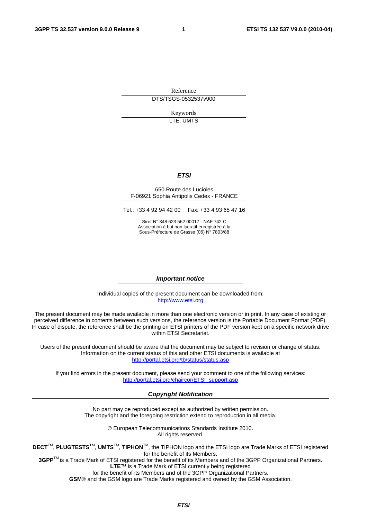Reference DTS/TSGS-0532537v900

> Keywords LTE, UMTS

#### *ETSI*

#### 650 Route des Lucioles F-06921 Sophia Antipolis Cedex - FRANCE

Tel.: +33 4 92 94 42 00 Fax: +33 4 93 65 47 16

Siret N° 348 623 562 00017 - NAF 742 C Association à but non lucratif enregistrée à la Sous-Préfecture de Grasse (06) N° 7803/88

#### *Important notice*

Individual copies of the present document can be downloaded from: [http://www.etsi.org](http://www.etsi.org/)

The present document may be made available in more than one electronic version or in print. In any case of existing or perceived difference in contents between such versions, the reference version is the Portable Document Format (PDF). In case of dispute, the reference shall be the printing on ETSI printers of the PDF version kept on a specific network drive within ETSI Secretariat.

Users of the present document should be aware that the document may be subject to revision or change of status. Information on the current status of this and other ETSI documents is available at <http://portal.etsi.org/tb/status/status.asp>

If you find errors in the present document, please send your comment to one of the following services: [http://portal.etsi.org/chaircor/ETSI\\_support.asp](http://portal.etsi.org/chaircor/ETSI_support.asp)

#### *Copyright Notification*

No part may be reproduced except as authorized by written permission. The copyright and the foregoing restriction extend to reproduction in all media.

> © European Telecommunications Standards Institute 2010. All rights reserved.

**DECT**TM, **PLUGTESTS**TM, **UMTS**TM, **TIPHON**TM, the TIPHON logo and the ETSI logo are Trade Marks of ETSI registered for the benefit of its Members.

**3GPP**TM is a Trade Mark of ETSI registered for the benefit of its Members and of the 3GPP Organizational Partners. **LTE**™ is a Trade Mark of ETSI currently being registered

for the benefit of its Members and of the 3GPP Organizational Partners.

**GSM**® and the GSM logo are Trade Marks registered and owned by the GSM Association.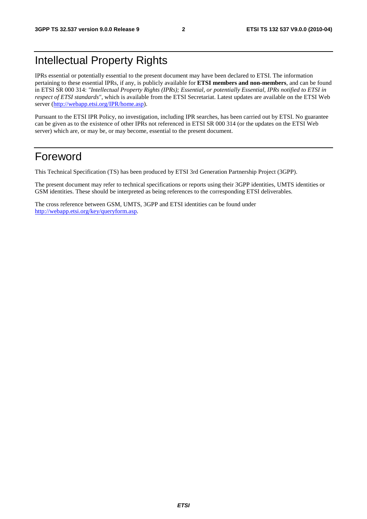# Intellectual Property Rights

IPRs essential or potentially essential to the present document may have been declared to ETSI. The information pertaining to these essential IPRs, if any, is publicly available for **ETSI members and non-members**, and can be found in ETSI SR 000 314: *"Intellectual Property Rights (IPRs); Essential, or potentially Essential, IPRs notified to ETSI in respect of ETSI standards"*, which is available from the ETSI Secretariat. Latest updates are available on the ETSI Web server [\(http://webapp.etsi.org/IPR/home.asp\)](http://webapp.etsi.org/IPR/home.asp).

Pursuant to the ETSI IPR Policy, no investigation, including IPR searches, has been carried out by ETSI. No guarantee can be given as to the existence of other IPRs not referenced in ETSI SR 000 314 (or the updates on the ETSI Web server) which are, or may be, or may become, essential to the present document.

# Foreword

This Technical Specification (TS) has been produced by ETSI 3rd Generation Partnership Project (3GPP).

The present document may refer to technical specifications or reports using their 3GPP identities, UMTS identities or GSM identities. These should be interpreted as being references to the corresponding ETSI deliverables.

The cross reference between GSM, UMTS, 3GPP and ETSI identities can be found under [http://webapp.etsi.org/key/queryform.asp.](http://webapp.etsi.org/key/queryform.asp)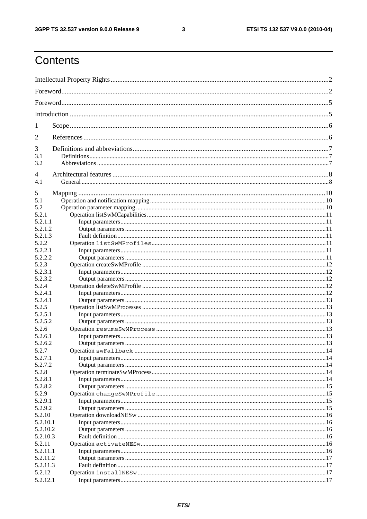#### $\mathbf{3}$

# Contents

| 1                  |  |
|--------------------|--|
| 2                  |  |
| 3                  |  |
| 3.1                |  |
| 3.2                |  |
| $\overline{4}$     |  |
| 4.1                |  |
| 5                  |  |
| 5.1                |  |
| 5.2                |  |
| 5.2.1              |  |
| 5.2.1.1            |  |
| 5.2.1.2            |  |
| 5.2.1.3            |  |
| 5.2.2              |  |
| 5.2.2.1            |  |
| 5.2.2.2            |  |
| 5.2.3              |  |
| 5.2.3.1            |  |
| 5.2.3.2            |  |
| 5.2.4              |  |
| 5.2.4.1            |  |
| 5.2.4.1            |  |
| 5.2.5              |  |
| 5.2.5.1            |  |
| 5.2.5.2            |  |
| 5.2.6              |  |
| 5.2.6.1            |  |
|                    |  |
| 5.2.6.2            |  |
| 5.2.7              |  |
| 5.2.7.1            |  |
| 5.2.7.2<br>5.2.8   |  |
|                    |  |
| 5.2.8.1<br>5.2.8.2 |  |
|                    |  |
| 5.2.9              |  |
| 5.2.9.1            |  |
| 5.2.9.2            |  |
| 5.2.10             |  |
| 5.2.10.1           |  |
| 5.2.10.2           |  |
| 5.2.10.3           |  |
| 5.2.11             |  |
| 5.2.11.1           |  |
| 5.2.11.2           |  |
| 5.2.11.3           |  |
| 5.2.12             |  |
| 5.2.12.1           |  |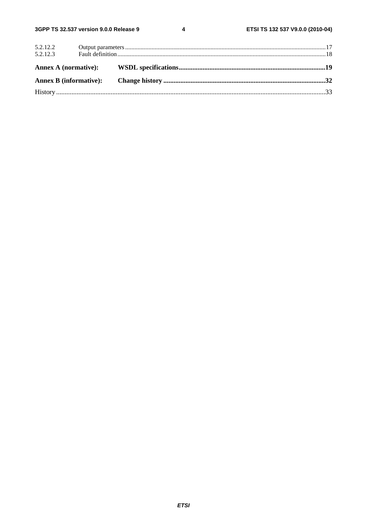$\overline{\mathbf{4}}$ 

| 5.2.12.2 |  |  |
|----------|--|--|
|          |  |  |
|          |  |  |
|          |  |  |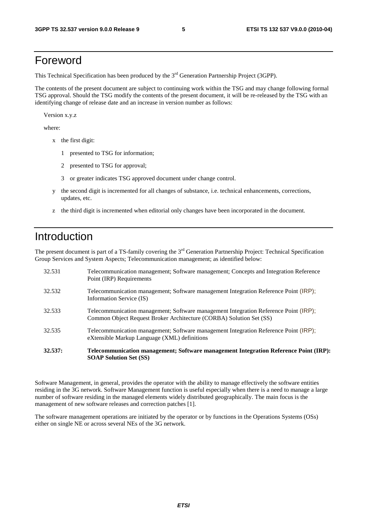# Foreword

This Technical Specification has been produced by the 3<sup>rd</sup> Generation Partnership Project (3GPP).

The contents of the present document are subject to continuing work within the TSG and may change following formal TSG approval. Should the TSG modify the contents of the present document, it will be re-released by the TSG with an identifying change of release date and an increase in version number as follows:

Version x.y.z

where:

- x the first digit:
	- 1 presented to TSG for information;
	- 2 presented to TSG for approval;
	- 3 or greater indicates TSG approved document under change control.
- y the second digit is incremented for all changes of substance, i.e. technical enhancements, corrections, updates, etc.
- z the third digit is incremented when editorial only changes have been incorporated in the document.

# Introduction

The present document is part of a TS-family covering the 3<sup>rd</sup> Generation Partnership Project: Technical Specification Group Services and System Aspects; Telecommunication management; as identified below:

| 32.537: | Telecommunication management; Software management Integration Reference Point (IRP):<br><b>SOAP Solution Set (SS)</b>                                       |
|---------|-------------------------------------------------------------------------------------------------------------------------------------------------------------|
| 32.535  | Telecommunication management; Software management Integration Reference Point (IRP);<br>eXtensible Markup Language (XML) definitions                        |
| 32.533  | Telecommunication management; Software management Integration Reference Point (IRP);<br>Common Object Request Broker Architecture (CORBA) Solution Set (SS) |
| 32.532  | Telecommunication management; Software management Integration Reference Point (IRP);<br>Information Service (IS)                                            |
| 32.531  | Telecommunication management; Software management; Concepts and Integration Reference<br>Point (IRP) Requirements                                           |

Software Management, in general, provides the operator with the ability to manage effectively the software entities residing in the 3G network. Software Management function is useful especially when there is a need to manage a large number of software residing in the managed elements widely distributed geographically. The main focus is the management of new software releases and correction patches [1].

The software management operations are initiated by the operator or by functions in the Operations Systems (OSs) either on single NE or across several NEs of the 3G network.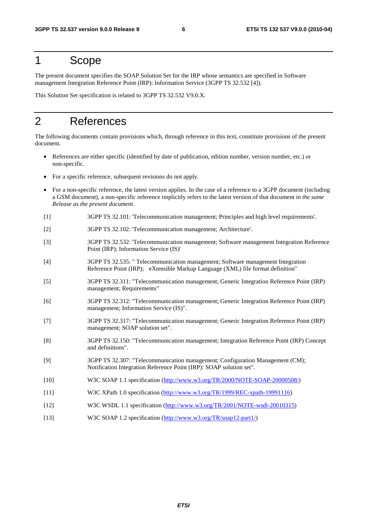# 1 Scope

The present document specifies the SOAP Solution Set for the IRP whose semantics are specified in Software management Integration Reference Point (IRP): Information Service (3GPP TS 32.532 [4]).

This Solution Set specification is related to 3GPP TS 32.532 V9.0.X.

# 2 References

The following documents contain provisions which, through reference in this text, constitute provisions of the present document.

- References are either specific (identified by date of publication, edition number, version number, etc.) or non-specific.
- For a specific reference, subsequent revisions do not apply.
- For a non-specific reference, the latest version applies. In the case of a reference to a 3GPP document (including a GSM document), a non-specific reference implicitly refers to the latest version of that document *in the same Release as the present document*.
- [1] 3GPP TS 32.101: 'Telecommunication management; Principles and high level requirements'.
- [2] 3GPP TS 32.102: 'Telecommunication management; Architecture'.
- [3] 3GPP TS 32.532: 'Telecommunication management; Software management Integration Reference Point (IRP); Information Service (IS)'
- [4] 3GPP TS 32.535: " Telecommunication management; Software management Integration Reference Point (IRP); eXtensible Markup Language (XML) file format definition"
- [5] 3GPP TS 32.311: "Telecommunication management; Generic Integration Reference Point (IRP) management; Requirements"
- [6] 3GPP TS 32.312: "Telecommunication management; Generic Integration Reference Point (IRP) management; Information Service (IS)".
- [7] 3GPP TS 32.317: "Telecommunication management; Generic Integration Reference Point (IRP) management; SOAP solution set".
- [8] 3GPP TS 32.150: "Telecommunication management; Integration Reference Point (IRP) Concept and definitions".
- [9] 3GPP TS 32.307: "Telecommunication management; Configuration Management (CM); Notification Integration Reference Point (IRP): SOAP solution set".
- [10] W3C SOAP 1.1 specification [\(http://www.w3.org/TR/2000/NOTE-SOAP-20000508/\)](http://www.w3.org/TR/2000/NOTE-SOAP-20000508/)
- [11] W3C XPath 1.0 specification [\(http://www.w3.org/TR/1999/REC-xpath-19991116\)](http://www.w3.org/TR/1999/REC-xpath-19991116)
- [12] W3C WSDL 1.1 specification [\(http://www.w3.org/TR/2001/NOTE-wsdl-20010315\)](http://www.w3.org/TR/2001/NOTE-wsdl-20010315)
- [13] W3C SOAP 1.2 specification [\(http://www.w3.org/TR/soap12-part1/\)](http://www.w3.org/TR/soap12-part1/)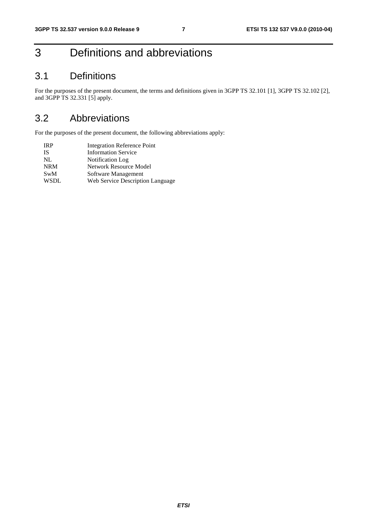# 3 Definitions and abbreviations

# 3.1 Definitions

For the purposes of the present document, the terms and definitions given in 3GPP TS 32.101 [1], 3GPP TS 32.102 [2], and 3GPP TS 32.331 [5] apply.

# 3.2 Abbreviations

For the purposes of the present document, the following abbreviations apply:

| <b>IRP</b>  | <b>Integration Reference Point</b> |
|-------------|------------------------------------|
| <b>IS</b>   | <b>Information Service</b>         |
| NL          | Notification Log                   |
| <b>NRM</b>  | Network Resource Model             |
| <b>SwM</b>  | Software Management                |
| <b>WSDL</b> | Web Service Description Language   |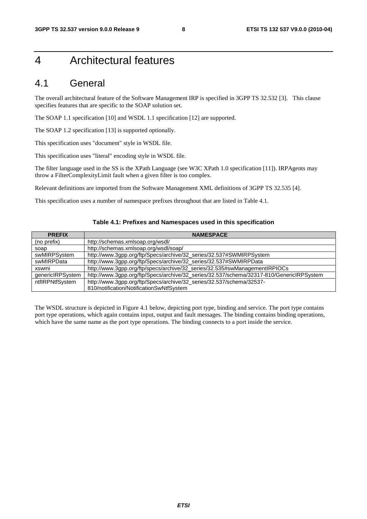# 4 Architectural features

### 4.1 General

The overall architectural feature of the Software Management IRP is specified in 3GPP TS 32.532 [3]. This clause specifies features that are specific to the SOAP solution set.

The SOAP 1.1 specification [10] and WSDL 1.1 specification [12] are supported.

The SOAP 1.2 specification [13] is supported optionally.

This specification uses "document" style in WSDL file.

This specification uses "literal" encoding style in WSDL file.

The filter language used in the SS is the XPath Language (see W3C XPath 1.0 specification [11]). IRPAgents may throw a FilterComplexityLimit fault when a given filter is too complex.

Relevant definitions are imported from the Software Management XML definitions of 3GPP TS 32.535 [4].

This specification uses a number of namespace prefixes throughout that are listed in Table 4.1.

#### **Table 4.1: Prefixes and Namespaces used in this specification**

| <b>PREFIX</b>    | <b>NAMESPACE</b>                                                                         |
|------------------|------------------------------------------------------------------------------------------|
| (no prefix)      | http://schemas.xmlsoap.org/wsdl/                                                         |
| soap             | http://schemas.xmlsoap.org/wsdl/soap/                                                    |
| swMIRPSystem     | http://www.3gpp.org/ftp/Specs/archive/32_series/32.537#SWMIRPSystem                      |
| swMIRPData       | http://www.3gpp.org/ftp/Specs/archive/32_series/32.537#SWMIRPData                        |
| xswmi            | http://www.3gpp.org/ftp/specs/archive/32_series/32.535#swManagementIRPIOCs               |
| genericlRPSystem | http://www.3gpp.org/ftp/Specs/archive/32_series/32.537/schema/32317-810/GenericlRPSystem |
| ntflRPNtfSystem  | http://www.3gpp.org/ftp/Specs/archive/32_series/32.537/schema/32537-                     |
|                  | 810/notification/NotificationSwNtfSystem                                                 |

The WSDL structure is depicted in Figure 4.1 below, depicting port type, binding and service. The port type contains port type operations, which again contains input, output and fault messages. The binding contains binding operations, which have the same name as the port type operations. The binding connects to a port inside the service.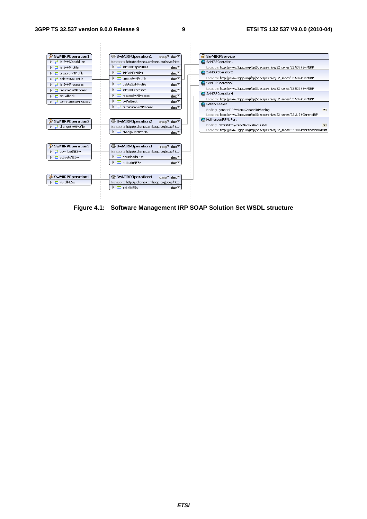| SwMIRPOperation1                   | <b>G</b> SwMIRPOperation1<br>soap $\overline{\phantom{a}}$ doc $\overline{\phantom{a}}$ |                | a SwMIRPService                                                                                                                              |
|------------------------------------|-----------------------------------------------------------------------------------------|----------------|----------------------------------------------------------------------------------------------------------------------------------------------|
| <mark>근</mark> listSwMCapabilities | transport: http://schemas.xmlsoap.org/soap/http                                         |                | SwMIRPOperation1                                                                                                                             |
| <b>코</b> listSwMProfiles           | listSwMCapabilities                                                                     | $doc^{\nabla}$ | Location: http://www.3gpp.org/ftp/Specs/archive/32_series/32.537#SwMIRP                                                                      |
| 균 createSwMProfile                 | listSwMProfiles                                                                         | doc            | SwMIRPOperation2                                                                                                                             |
| deleteSwMProfile                   | createSwMProfile                                                                        | doc            | Location: http://www.3gpp.org/ftp/Specs/archive/32_series/32.537#SwMIRP                                                                      |
| <b>근</b> listSwMProcesses          | deleteSwMProfile                                                                        | $doc^{\nabla}$ | SwMIRPOperation3                                                                                                                             |
| resumeSwMProcess                   | listSwMProcesses                                                                        | doc            | Location: http://www.3qpp.org/ftp/Specs/archive/32 series/32.537#SwMIRP                                                                      |
| swFallback                         | resumeSwMProcess                                                                        | doc            | SwMIRPOperation4                                                                                                                             |
| terminateSwMProcess                | swFallback                                                                              | doc            | Location: http://www.3gpp.org/ftp/Specs/archive/32_series/32.537#SwMIRP                                                                      |
|                                    | <b>2</b> terminateSwMProcess                                                            | doc            | GenericIRPPort                                                                                                                               |
|                                    |                                                                                         |                | Binding: genericIRPSystem:GenericIRPBinding<br>$\blacksquare$<br>Location: http://www.3gpp.org/ftp/Specs/archive/32_series/32.317#GenericIRP |
|                                    |                                                                                         |                | NotificationIRPNtfPort                                                                                                                       |
| SwMIRPOperation2                   | <b>G</b> SwMIRPOperation2<br>soap $\overline{\phantom{a}}$ doc $\overline{\phantom{a}}$ |                | Binding: ntfIRPNtfSystem:NotificationIRPNtf<br>$\overline{\phantom{a}}$                                                                      |
| 근 changeSwMProfile                 | transport: http://schemas.xmlsoap.org/soap/http                                         |                | Location: http://www.3gpp.org/ftp/Specs/archive/32_series/32.307#NotificationIRPNtf                                                          |
|                                    | ь<br><b>₹</b> changeSwMProfile                                                          | $doc^{\nabla}$ |                                                                                                                                              |
|                                    |                                                                                         |                |                                                                                                                                              |
| SwMIRPOperation3                   | <b><i>SwMIRPOperation3</i></b><br>soap <sup>▼</sup> doc <sup>▼</sup>                    |                |                                                                                                                                              |
| downloadNESw                       | transport: http://schemas.xmlsoap.org/soap/http                                         |                |                                                                                                                                              |
| activateNESw                       | downloadNESw                                                                            | $doc^{\nabla}$ |                                                                                                                                              |
|                                    | activateNESw                                                                            | $doc^{\nabla}$ |                                                                                                                                              |
|                                    |                                                                                         |                |                                                                                                                                              |
|                                    |                                                                                         |                |                                                                                                                                              |
| 多 SwMIRPOperation4                 | <b><i>SwMIRPOperation4</i></b><br>soap $\sqrt{\ }$ doc $\sqrt{\ }$                      |                |                                                                                                                                              |
| 균 installNESw                      | transport: http://schemas.xmlsoap.org/soap/http                                         |                |                                                                                                                                              |
|                                    | 군 installNESw                                                                           | $doc^{\nabla}$ |                                                                                                                                              |
|                                    |                                                                                         |                |                                                                                                                                              |

**Figure 4.1: Software Management IRP SOAP Solution Set WSDL structure**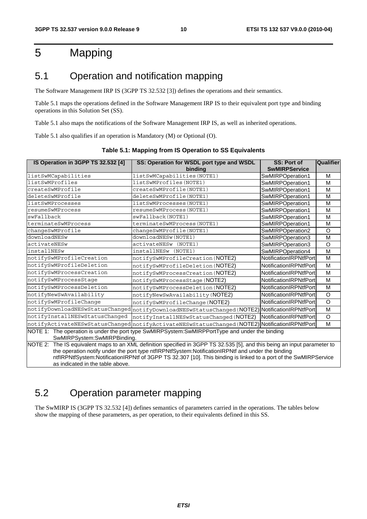# 5 Mapping

# 5.1 Operation and notification mapping

The Software Management IRP IS (3GPP TS 32.532 [3]) defines the operations and their semantics.

Table 5.1 maps the operations defined in the Software Management IRP IS to their equivalent port type and binding operations in this Solution Set (SS).

Table 5.1 also maps the notifications of the Software Management IRP IS, as well as inherited operations.

Table 5.1 also qualifies if an operation is Mandatory (M) or Optional (O).

| IS Operation in 3GPP TS 32.532 [4]                                                                               | SS: Operation for WSDL port type and WSDL                                                                                 | <b>SS: Port of</b>            | Qualifier |  |
|------------------------------------------------------------------------------------------------------------------|---------------------------------------------------------------------------------------------------------------------------|-------------------------------|-----------|--|
|                                                                                                                  | binding                                                                                                                   | <b>SwMIRPService</b>          |           |  |
| listSwMCapabilities                                                                                              | listSwMCapabilities (NOTE1)                                                                                               | SwMIRPOperation1              | M         |  |
| listSwMProfiles                                                                                                  | listSwMProfiles (NOTE1)                                                                                                   | SwMIRPOperation1              | M         |  |
| createSwMProfile                                                                                                 | createSwMProfile(NOTE1)                                                                                                   | SwMIRPOperation1              | M         |  |
| deleteSwMProfile                                                                                                 | deleteSwMProfile(NOTE1)                                                                                                   | SwMIRPOperation1              | M         |  |
| listSwMProcesses                                                                                                 | listSwMProcesses (NOTE1)                                                                                                  | SwMIRPOperation1              | M         |  |
| resumeSwMProcess                                                                                                 | resumeSwMProcess(NOTE1)                                                                                                   | SwMIRPOperation1              | M         |  |
| swFallback                                                                                                       | swFallback (NOTE1)                                                                                                        | SwMIRPOperation1              | M         |  |
| terminateSwMProcess                                                                                              | terminateSwMProcess(NOTE1)                                                                                                | SwMIRPOperation1              | M         |  |
| changeSwMProfile                                                                                                 | changeSwMProfile(NOTE1)                                                                                                   | SwMIRPOperation2              | $\circ$   |  |
| downloadNESw                                                                                                     | downloadNESw(NOTE1)                                                                                                       | SwMIRPOperation3              | M         |  |
| activateNESw                                                                                                     | activateNESw<br>(NOTE1)                                                                                                   | SwMIRPOperation3              | $\circ$   |  |
| installNESw                                                                                                      | installNESw (NOTE1)                                                                                                       | SwMIRPOperation4              | M         |  |
| notifySwMProfileCreation                                                                                         | notifySwMProfileCreation (NOTE2)                                                                                          | <b>NotificationIRPNtfPort</b> | M         |  |
| notifySwMProfileDeletion                                                                                         | notifySwMProfileDeletion (NOTE2)                                                                                          | <b>NotificationIRPNtfPort</b> | M         |  |
| notifySwMProcessCreation                                                                                         | notifySwMProcessCreation (NOTE2)                                                                                          | NotificationIRPNtfPort        | M         |  |
| notifySwMProcessStage                                                                                            | notifySwMProcessStage(NOTE2)                                                                                              | NotificationIRPNtfPort        | M         |  |
| notifySwMProcessDeletion                                                                                         | notifySwMProcessDeletion (NOTE2)                                                                                          | <b>NotificationIRPNtfPort</b> | M         |  |
| notifyNewSwAvailability                                                                                          | notifyNewSwAvailability (NOTE2)                                                                                           | NotificationIRPNtfPort        | O         |  |
| notifySwMProfileChange                                                                                           | notifySwMProfileChange(NOTE2)                                                                                             | NotificationIRPNtfPort        | $\Omega$  |  |
|                                                                                                                  | notifyDownloadNESwStatusChanged notifyDownloadNESwStatusChanged (NOTE2) Notification RPNtfPort                            |                               | M         |  |
| notifyInstallNESwStatusChanged                                                                                   | notifyInstallNESwStatusChanged (NOTE2)                                                                                    | NotificationIRPNtfPort        | $\Omega$  |  |
|                                                                                                                  | notifyActivateNESwStatusChanged notifyActivateNESwStatusChanged(NOTE2) NotificationIRPNtfPort                             |                               | M         |  |
| NOTE 1: The operation is under the port type SwMIRPSystem:SwMIRPPortType and under the binding                   |                                                                                                                           |                               |           |  |
| SwMIRPSystem:SwMIRPBinding.                                                                                      |                                                                                                                           |                               |           |  |
|                                                                                                                  | NOTE 2: The IS equivalent maps to an XML definition specified in 3GPP TS 32.535 [5], and this being an input parameter to |                               |           |  |
|                                                                                                                  | the operation notify under the port type ntflRPNtfSystem:NotificationIRPNtf and under the binding                         |                               |           |  |
| ntflRPNtfSystem:NotificationIRPNtf of 3GPP TS 32.307 [10]. This binding is linked to a port of the SwMIRPService |                                                                                                                           |                               |           |  |
| as indicated in the table above.                                                                                 |                                                                                                                           |                               |           |  |

**Table 5.1: Mapping from IS Operation to SS Equivalents** 

# 5.2 Operation parameter mapping

The SwMIRP IS (3GPP TS 32.532 [4]) defines semantics of parameters carried in the operations. The tables below show the mapping of these parameters, as per operation, to their equivalents defined in this SS.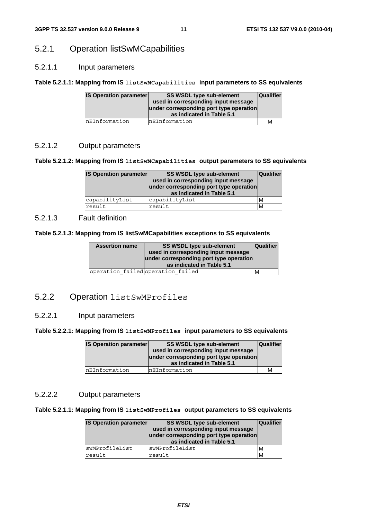### 5.2.1 Operation listSwMCapabilities

#### 5.2.1.1 Input parameters

#### **Table 5.2.1.1: Mapping from IS listSwMCapabilities input parameters to SS equivalents**

| <b>IS Operation parameter</b> | <b>SS WSDL type sub-element</b><br>used in corresponding input message<br>under corresponding port type operation<br>as indicated in Table 5.1 | <b>Qualifier</b> |
|-------------------------------|------------------------------------------------------------------------------------------------------------------------------------------------|------------------|
| nEInformation                 | nEInformation                                                                                                                                  | М                |

#### 5.2.1.2 Output parameters

#### **Table 5.2.1.2: Mapping from IS listSwMCapabilities output parameters to SS equivalents**

| <b>IS Operation parameter</b> | <b>SS WSDL type sub-element</b><br>used in corresponding input message<br>under corresponding port type operation<br>as indicated in Table 5.1 | <b>Qualifier</b> |
|-------------------------------|------------------------------------------------------------------------------------------------------------------------------------------------|------------------|
| capabilityList                | capabilityList                                                                                                                                 | М                |
| result                        | result                                                                                                                                         | M                |

#### 5.2.1.3 Fault definition

#### **Table 5.2.1.3: Mapping from IS listSwMCapabilities exceptions to SS equivalents**

| <b>Assertion name</b>             | <b>SS WSDL type sub-element</b><br>used in corresponding input message<br>under corresponding port type operation<br>as indicated in Table 5.1 | <b>Qualifier</b> |
|-----------------------------------|------------------------------------------------------------------------------------------------------------------------------------------------|------------------|
| operation failed operation failed |                                                                                                                                                | м                |

### 5.2.2 Operation listSwMProfiles

#### 5.2.2.1 Input parameters

#### **Table 5.2.2.1: Mapping from IS listSwMProfiles input parameters to SS equivalents**

| <b>IS Operation parameter</b> | <b>SS WSDL type sub-element</b><br>used in corresponding input message<br>under corresponding port type operation<br>as indicated in Table 5.1 | <b>Qualifier</b> |
|-------------------------------|------------------------------------------------------------------------------------------------------------------------------------------------|------------------|
| nEInformation                 | nEInformation                                                                                                                                  | м                |

### 5.2.2.2 Output parameters

#### **Table 5.2.1.1: Mapping from IS listSwMProfiles output parameters to SS equivalents**

| <b>IS Operation parameter</b> | <b>SS WSDL type sub-element</b><br>used in corresponding input message<br>under corresponding port type operation<br>as indicated in Table 5.1 | <b>Qualifier</b> |
|-------------------------------|------------------------------------------------------------------------------------------------------------------------------------------------|------------------|
| swMProfileList                | swMProfileList                                                                                                                                 | м                |
| result                        | result                                                                                                                                         | M                |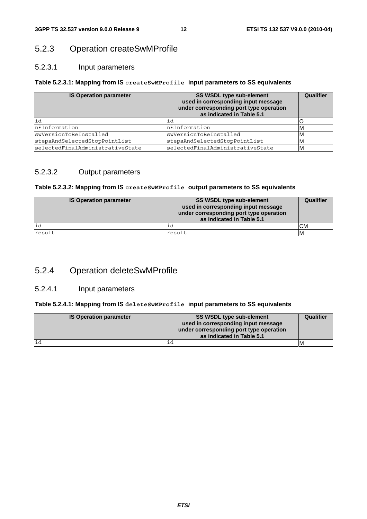# 5.2.3 Operation createSwMProfile

#### 5.2.3.1 Input parameters

#### **Table 5.2.3.1: Mapping from IS createSwMProfile input parameters to SS equivalents**

| <b>IS Operation parameter</b>    | SS WSDL type sub-element<br>used in corresponding input message<br>under corresponding port type operation<br>as indicated in Table 5.1 | Qualifier |
|----------------------------------|-----------------------------------------------------------------------------------------------------------------------------------------|-----------|
| lid                              | id                                                                                                                                      |           |
| nEInformation                    | nEInformation                                                                                                                           | ΙM        |
| swVersionToBeInstalled           | swVersionToBeInstalled                                                                                                                  | ιM        |
| stepsAndSelectedStopPointList    | stepsAndSelectedStopPointList                                                                                                           |           |
| selectedFinalAdministrativeState | selectedFinalAdministrativeState                                                                                                        |           |

#### 5.2.3.2 Output parameters

#### **Table 5.2.3.2: Mapping from IS createSwMProfile output parameters to SS equivalents**

| <b>IS Operation parameter</b> | <b>SS WSDL type sub-element</b><br>used in corresponding input message<br>under corresponding port type operation<br>as indicated in Table 5.1 | Qualifier |
|-------------------------------|------------------------------------------------------------------------------------------------------------------------------------------------|-----------|
| id                            | ıd                                                                                                                                             | IСM       |
| result                        | result                                                                                                                                         | ιM        |

# 5.2.4 Operation deleteSwMProfile

#### 5.2.4.1 Input parameters

#### **Table 5.2.4.1: Mapping from IS deleteSwMProfile input parameters to SS equivalents**

| <b>IS Operation parameter</b> | <b>SS WSDL type sub-element</b><br>used in corresponding input message<br>under corresponding port type operation<br>as indicated in Table 5.1 | Qualifier |
|-------------------------------|------------------------------------------------------------------------------------------------------------------------------------------------|-----------|
| lid                           |                                                                                                                                                | ΙM        |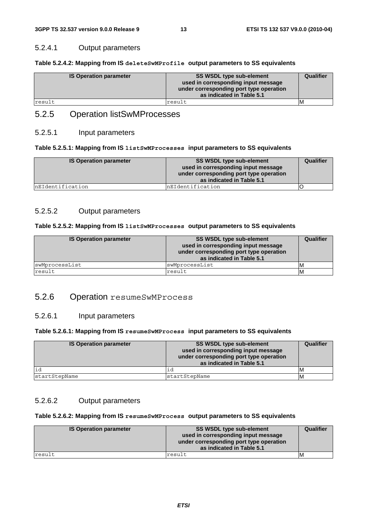#### 5.2.4.1 Output parameters

#### **Table 5.2.4.2: Mapping from IS deleteSwMProfile output parameters to SS equivalents**

| <b>IS Operation parameter</b> | SS WSDL type sub-element<br>used in corresponding input message<br>under corresponding port type operation<br>as indicated in Table 5.1 | Qualifier |
|-------------------------------|-----------------------------------------------------------------------------------------------------------------------------------------|-----------|
| result                        | result                                                                                                                                  | ΙM        |

### 5.2.5 Operation listSwMProcesses

#### 5.2.5.1 Input parameters

#### **Table 5.2.5.1: Mapping from IS listSwMProcesses input parameters to SS equivalents**

| <b>IS Operation parameter</b> | <b>SS WSDL type sub-element</b><br>used in corresponding input message<br>under corresponding port type operation<br>as indicated in Table 5.1 | Qualifier |
|-------------------------------|------------------------------------------------------------------------------------------------------------------------------------------------|-----------|
| nEIdentification              | InEIdentification                                                                                                                              |           |

#### 5.2.5.2 Output parameters

#### **Table 5.2.5.2: Mapping from IS listSwMProcesses output parameters to SS equivalents**

| <b>IS Operation parameter</b> | <b>SS WSDL type sub-element</b><br>used in corresponding input message<br>under corresponding port type operation<br>as indicated in Table 5.1 | Qualifier |
|-------------------------------|------------------------------------------------------------------------------------------------------------------------------------------------|-----------|
| swMprocessList                | swMprocessList                                                                                                                                 | ΙM        |
| result                        | result                                                                                                                                         | ΙM        |

#### 5.2.6 Operation resumeSwMProcess

#### 5.2.6.1 Input parameters

#### **Table 5.2.6.1: Mapping from IS resumeSwMProcess input parameters to SS equivalents**

| <b>IS Operation parameter</b> | SS WSDL type sub-element<br>used in corresponding input message<br>under corresponding port type operation<br>as indicated in Table 5.1 | Qualifier |
|-------------------------------|-----------------------------------------------------------------------------------------------------------------------------------------|-----------|
| lid                           |                                                                                                                                         | ıм        |
| startStepName                 | startStepName                                                                                                                           | ΙM        |

#### 5.2.6.2 Output parameters

#### **Table 5.2.6.2: Mapping from IS resumeSwMProcess output parameters to SS equivalents**

| <b>IS Operation parameter</b> | <b>SS WSDL type sub-element</b><br>used in corresponding input message<br>under corresponding port type operation<br>as indicated in Table 5.1 | Qualifier |
|-------------------------------|------------------------------------------------------------------------------------------------------------------------------------------------|-----------|
| result                        | result                                                                                                                                         | ΙM        |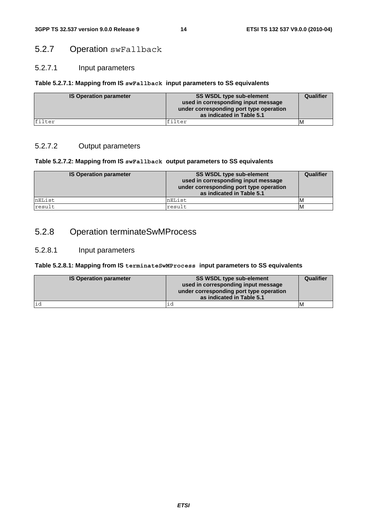### 5.2.7 Operation swFallback

#### 5.2.7.1 Input parameters

#### **Table 5.2.7.1: Mapping from IS swFallback input parameters to SS equivalents**

| <b>IS Operation parameter</b> | <b>SS WSDL type sub-element</b><br>used in corresponding input message<br>under corresponding port type operation<br>as indicated in Table 5.1 | Qualifier |
|-------------------------------|------------------------------------------------------------------------------------------------------------------------------------------------|-----------|
| filter                        | filter                                                                                                                                         | ΙM        |

#### 5.2.7.2 Output parameters

#### **Table 5.2.7.2: Mapping from IS swFallback output parameters to SS equivalents**

| <b>IS Operation parameter</b> | <b>SS WSDL type sub-element</b><br>used in corresponding input message<br>under corresponding port type operation<br>as indicated in Table 5.1 | Qualifier |
|-------------------------------|------------------------------------------------------------------------------------------------------------------------------------------------|-----------|
| nEList                        | nEList                                                                                                                                         | ıм        |
| result                        | result                                                                                                                                         | ΙM        |

# 5.2.8 Operation terminateSwMProcess

#### 5.2.8.1 Input parameters

#### **Table 5.2.8.1: Mapping from IS terminateSwMProcess input parameters to SS equivalents**

| <b>IS Operation parameter</b> | <b>SS WSDL type sub-element</b><br>used in corresponding input message<br>under corresponding port type operation<br>as indicated in Table 5.1 | Qualifier |
|-------------------------------|------------------------------------------------------------------------------------------------------------------------------------------------|-----------|
| lid                           |                                                                                                                                                | ΙM        |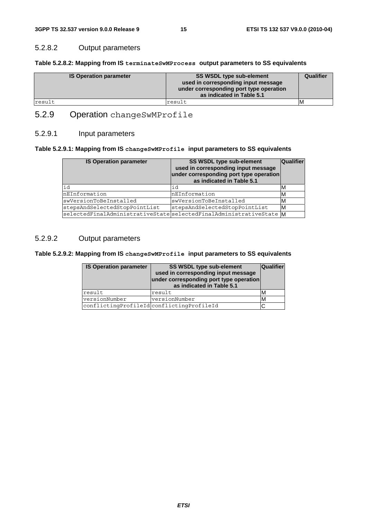#### 5.2.8.2 Output parameters

| Table 5.2.8.2: Mapping from IS terminateSwMProcess output parameters to SS equivalents |  |
|----------------------------------------------------------------------------------------|--|
|----------------------------------------------------------------------------------------|--|

| <b>IS Operation parameter</b> | <b>SS WSDL type sub-element</b><br>used in corresponding input message<br>under corresponding port type operation<br>as indicated in Table 5.1 | Qualifier |
|-------------------------------|------------------------------------------------------------------------------------------------------------------------------------------------|-----------|
| result                        | result                                                                                                                                         | ΙM        |

# 5.2.9 Operation changeSwMProfile

#### 5.2.9.1 Input parameters

#### **Table 5.2.9.1: Mapping from IS changeSwMProfile input parameters to SS equivalents**

| <b>IS Operation parameter</b> | <b>SS WSDL type sub-element</b><br>used in corresponding input message<br>under corresponding port type operation<br>as indicated in Table 5.1 | <b>Qualifier</b> |
|-------------------------------|------------------------------------------------------------------------------------------------------------------------------------------------|------------------|
| id                            | id                                                                                                                                             | ıм               |
| nEInformation                 | nEInformation                                                                                                                                  | ΙM               |
| swVersionToBeInstalled        | swVersionToBeInstalled                                                                                                                         | ΙM               |
| stepsAndSelectedStopPointList | stepsAndSelectedStopPointList                                                                                                                  | ΙM               |
|                               | selectedFinalAdministrativeStatesselectedFinalAdministrativeState M                                                                            |                  |

#### 5.2.9.2 Output parameters

#### **Table 5.2.9.2: Mapping from IS changeSwMProfile input parameters to SS equivalents**

| <b>IS Operation parameter</b> | SS WSDL type sub-element<br>used in corresponding input message<br>under corresponding port type operation<br>as indicated in Table 5.1 | <b>Qualifier</b> |
|-------------------------------|-----------------------------------------------------------------------------------------------------------------------------------------|------------------|
| result                        | result                                                                                                                                  | M                |
| versionNumber                 | versionNumber                                                                                                                           | M                |
|                               | conflictingProfileIdconflictingProfileId                                                                                                |                  |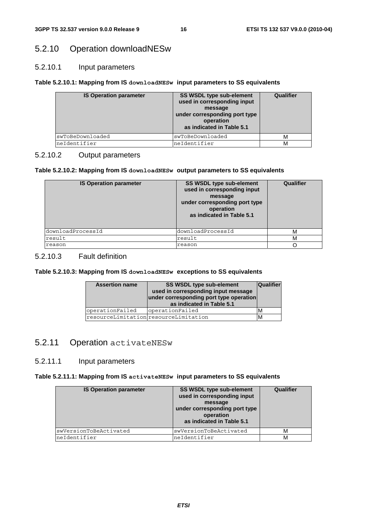### 5.2.10 Operation downloadNESw

### 5.2.10.1 Input parameters

#### **Table 5.2.10.1: Mapping from IS downloadNESw input parameters to SS equivalents**

| <b>IS Operation parameter</b> | SS WSDL type sub-element<br>used in corresponding input<br>message<br>under corresponding port type<br>operation<br>as indicated in Table 5.1 | Qualifier |
|-------------------------------|-----------------------------------------------------------------------------------------------------------------------------------------------|-----------|
| swToBeDownloaded              | swToBeDownloaded                                                                                                                              | м         |
| neIdentifier                  | neIdentifier                                                                                                                                  | м         |

#### 5.2.10.2 Output parameters

#### **Table 5.2.10.2: Mapping from IS downloadNESw output parameters to SS equivalents**

| <b>IS Operation parameter</b> | <b>SS WSDL type sub-element</b><br>used in corresponding input<br>message<br>under corresponding port type<br>operation<br>as indicated in Table 5.1 | Qualifier |
|-------------------------------|------------------------------------------------------------------------------------------------------------------------------------------------------|-----------|
| downloadProcessId             | downloadProcessId                                                                                                                                    | м         |
| result                        | result                                                                                                                                               | М         |
| reason                        | reason                                                                                                                                               |           |

#### 5.2.10.3 Fault definition

#### **Table 5.2.10.3: Mapping from IS downloadNESw exceptions to SS equivalents**

| <b>Assertion name</b> | <b>SS WSDL type sub-element</b><br>used in corresponding input message<br>under corresponding port type operation<br>as indicated in Table 5.1 | <b>Qualifier</b> |
|-----------------------|------------------------------------------------------------------------------------------------------------------------------------------------|------------------|
| operationFailed       | operationFailed                                                                                                                                | м                |
|                       | resourceLimitation resourceLimitation                                                                                                          | M                |

# 5.2.11 Operation activateNESw

#### 5.2.11.1 Input parameters

#### **Table 5.2.11.1: Mapping from IS activateNESw input parameters to SS equivalents**

| <b>IS Operation parameter</b> | <b>SS WSDL type sub-element</b><br>used in corresponding input<br>message<br>under corresponding port type<br>operation<br>as indicated in Table 5.1 | Qualifier |
|-------------------------------|------------------------------------------------------------------------------------------------------------------------------------------------------|-----------|
| swVersionToBeActivated        | swVersionToBeActivated                                                                                                                               | М         |
| neIdentifier                  | neIdentifier                                                                                                                                         |           |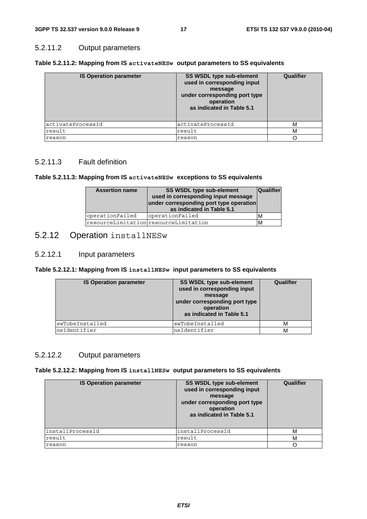#### 5.2.11.2 Output parameters

| <b>IS Operation parameter</b> | <b>SS WSDL type sub-element</b><br>used in corresponding input<br>message<br>under corresponding port type<br>operation<br>as indicated in Table 5.1 | Qualifier |
|-------------------------------|------------------------------------------------------------------------------------------------------------------------------------------------------|-----------|
| activateProcessId             | activateProcessId                                                                                                                                    | м         |
| result                        | result                                                                                                                                               | M         |
| reason                        | reason                                                                                                                                               | ∩         |

#### **Table 5.2.11.2: Mapping from IS activateNESw output parameters to SS equivalents**

#### 5.2.11.3 Fault definition

#### **Table 5.2.11.3: Mapping from IS activateNESw exceptions to SS equivalents**

| <b>Assertion name</b> | SS WSDL type sub-element<br>used in corresponding input message<br>under corresponding port type operation<br>as indicated in Table 5.1 | <b>Qualifier</b> |
|-----------------------|-----------------------------------------------------------------------------------------------------------------------------------------|------------------|
| operationFailed       | operationFailed                                                                                                                         |                  |
|                       | resourceLimitation resourceLimitation                                                                                                   |                  |

### 5.2.12 Operation installNESw

#### 5.2.12.1 Input parameters

#### **Table 5.2.12.1: Mapping from IS installNESw input parameters to SS equivalents**

| <b>IS Operation parameter</b> | <b>SS WSDL type sub-element</b><br>used in corresponding input<br>message<br>under corresponding port type<br>operation<br>as indicated in Table 5.1 | Qualifier |
|-------------------------------|------------------------------------------------------------------------------------------------------------------------------------------------------|-----------|
| swTobeInstalled               | swTobeInstalled                                                                                                                                      | М         |
| neIdentifier                  | IneIdentifier                                                                                                                                        | М         |

#### 5.2.12.2 Output parameters

#### **Table 5.2.12.2: Mapping from IS installNESw output parameters to SS equivalents**

| <b>IS Operation parameter</b> | <b>SS WSDL type sub-element</b><br>used in corresponding input<br>message<br>under corresponding port type<br>operation<br>as indicated in Table 5.1 | Qualifier |
|-------------------------------|------------------------------------------------------------------------------------------------------------------------------------------------------|-----------|
| installProcessId              | installProcessId                                                                                                                                     | М         |
| result                        | result                                                                                                                                               | М         |
| reason                        | reason                                                                                                                                               |           |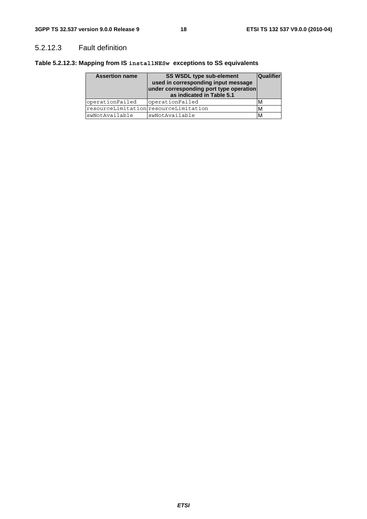### 5.2.12.3 Fault definition

#### **Table 5.2.12.3: Mapping from IS installNESw exceptions to SS equivalents**

| <b>Assertion name</b> | <b>SS WSDL type sub-element</b><br>used in corresponding input message<br>under corresponding port type operation<br>as indicated in Table 5.1 | <b>Qualifier</b> |
|-----------------------|------------------------------------------------------------------------------------------------------------------------------------------------|------------------|
| operationFailed       | operationFailed                                                                                                                                | м                |
|                       | resourceLimitation resourceLimitation                                                                                                          | M                |
| swNotAvailable        | swNotAvailable                                                                                                                                 | M                |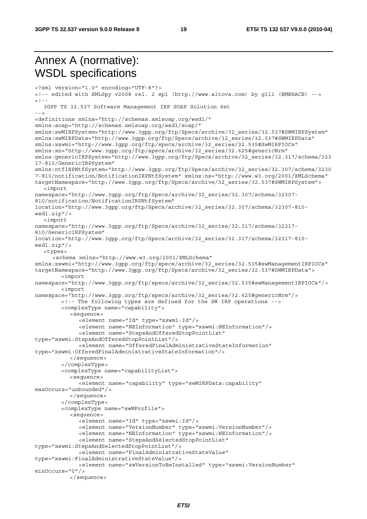**3GPP TS 32.537 version 9.0.0 Release 9 19 ETSI TS 132 537 V9.0.0 (2010-04)**

# Annex A (normative): WSDL specifications

<?xml version="1.0" encoding="UTF-8"?>

```
<!-- edited with XMLSpy v2008 rel. 2 sp1 (http://www.altova.com) by g1li (EMBRACE) --> 
\leq ! --
```
 3GPP TS 32.537 Software Management IRP SOAP Solution Set  $- - \sim$ 

<definitions xmlns="http://schemas.xmlsoap.org/wsdl/"

```
xmlns:soap="http://schemas.xmlsoap.org/wsdl/soap/" 
xmlns:swMIRPSystem="http://www.3gpp.org/ftp/Specs/archive/32_series/32.537#SWMIRPSystem" 
xmlns:swMIRPData="http://www.3gpp.org/ftp/Specs/archive/32_series/32.537#SWMIRPData" 
xmlns:xswmi="http://www.3gpp.org/ftp/specs/archive/32_series/32.535#SwMIRPIOCs" 
xmlns:xn="http://www.3gpp.org/ftp/specs/archive/32_series/32.625#genericNrm" 
xmlns:genericIRPSystem="http://www.3gpp.org/ftp/Specs/archive/32_series/32.317/schema/323
17-810/GenericIRPSystem" 
xmlns:ntfIRPNtfSystem="http://www.3gpp.org/ftp/Specs/archive/32_series/32.307/schema/3230
7-810/notification/NotificationIRPNtfSystem" xmlns:ns="http://www.w3.org/2001/XMLSchema" 
targetNamespace="http://www.3gpp.org/ftp/Specs/archive/32_series/32.537#SWMIRPSystem"> 
   <import 
namespace="http://www.3gpp.org/ftp/Specs/archive/32_series/32.307/schema/32307-
810/notification/NotificationIRPNtfSystem" 
location="http://www.3gpp.org/ftp/Specs/archive/32_series/32.307/schema/32307-810-
wsdl.zip"/> 
   <import 
namespace="http://www.3gpp.org/ftp/Specs/archive/32_series/32.317/schema/32317-
810/GenericIRPSystem" 
location="http://www.3gpp.org/ftp/Specs/archive/32_series/32.317/schema/32317-810-
wsdl.zip"/> 
   <types> 
      <schema xmlns="http://www.w3.org/2001/XMLSchema" 
xmlns:xswmi="http://www.3gpp.org/ftp/specs/archive/32_series/32.535#swManagementIRPIOCs" 
targetNamespace="http://www.3gpp.org/ftp/Specs/archive/32_series/32.537#SWMIRPData"> 
         <import 
namespace="http://www.3gpp.org/ftp/specs/archive/32_series/32.535#swManagementIRPIOCs"/> 
         <import 
namespace="http://www.3gpp.org/ftp/specs/archive/32_series/32.625#genericNrm"/> 
         <!-- The following types are defined for the SW IRP operations --> 
         <complexType name="capability"> 
            <sequence> 
             <element name="Id" type="xswmi:Id"/>
              <element name="NEInformation" type="xswmi:NEInformation"/> 
              <element name="StepsAndOfferedStopPointList" 
type="xswmi:StepsAndOfferedStopPointList"/> 
              <element name="OfferedFinalAdministrativeStateInformation" 
type="xswmi:OfferedFinalAdministrativeStateInformation"/> 
            </sequence> 
         </complexType> 
         <complexType name="capabilityList"> 
            <sequence> 
              <element name="capability" type="swMIRPData:capability" 
maxOccurs="unbounded"/> 
            </sequence> 
         </complexType> 
         <complexType name="swMProfile"> 
            <sequence> 
              <element name="Id" type="xswmi:Id"/> 
              <element name="VersionNumber" type="xswmi:VersionNumber"/> 
              <element name="NEInformation" type="xswmi:NEInformation"/> 
              <element name="StepsAndSelectedStopPointList" 
type="xswmi:StepsAndSelectedStopPointList"/> 
               <element name="FinalAdministrativeStateValue" 
type="xswmi:FinalAdministrativeStateValue"/> 
              <element name="swVersionToBeInstalled" type="xswmi:VersionNumber" 
minOccurs="0"/> 
            </sequence>
```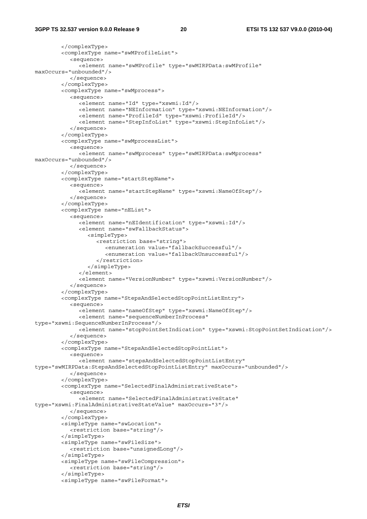```
 </complexType> 
         <complexType name="swMProfileList"> 
            <sequence> 
               <element name="swMProfile" type="swMIRPData:swMProfile" 
maxOccurs="unbounded"/> 
            </sequence> 
         </complexType> 
         <complexType name="swMprocess"> 
            <sequence> 
               <element name="Id" type="xswmi:Id"/> 
               <element name="NEInformation" type="xswmi:NEInformation"/> 
               <element name="ProfileId" type="xswmi:ProfileId"/> 
               <element name="StepInfoList" type="xswmi:StepInfoList"/> 
            </sequence> 
         </complexType> 
         <complexType name="swMprocessList"> 
            <sequence> 
               <element name="swMprocess" type="swMIRPData:swMprocess" 
maxOccurs="unbounded"/> 
            </sequence> 
         </complexType> 
         <complexType name="startStepName"> 
            <sequence> 
               <element name="startStepName" type="xswmi:NameOfStep"/> 
            </sequence> 
         </complexType> 
         <complexType name="nEList"> 
            <sequence> 
               <element name="nEIdentification" type="xswmi:Id"/> 
               <element name="swFallbackStatus"> 
                  <simpleType> 
                     <restriction base="string"> 
                       <enumeration value="fallbackSuccessful"/> 
                        <enumeration value="fallbackUnsuccessful"/> 
                     </restriction> 
                  </simpleType> 
               </element> 
               <element name="VersionNumber" type="xswmi:VersionNumber"/> 
            </sequence> 
         </complexType> 
         <complexType name="StepsAndSelectedStopPointListEntry"> 
            <sequence> 
               <element name="nameOfStep" type="xswmi:NameOfStep"/> 
               <element name="sequenceNumberInProcess" 
type="xswmi:SequenceNumberInProcess"/> 
               <element name="stopPointSetIndication" type="xswmi:StopPointSetIndication"/> 
            </sequence> 
         </complexType> 
         <complexType name="StepsAndSelectedStopPointList"> 
            <sequence> 
               <element name="stepsAndSelectedStopPointListEntry" 
type="swMIRPData:StepsAndSelectedStopPointListEntry" maxOccurs="unbounded"/> 
            </sequence> 
         </complexType> 
         <complexType name="SelectedFinalAdministrativeState"> 
            <sequence> 
               <element name="SelectedFinalAdministrativeState" 
type="xswmi:FinalAdministrativeStateValue" maxOccurs="3"/> 
            </sequence> 
         </complexType> 
         <simpleType name="swLocation"> 
            <restriction base="string"/> 
         </simpleType> 
         <simpleType name="swFileSize"> 
            <restriction base="unsignedLong"/> 
         </simpleType> 
         <simpleType name="swFileCompression"> 
            <restriction base="string"/> 
         </simpleType> 
         <simpleType name="swFileFormat">
```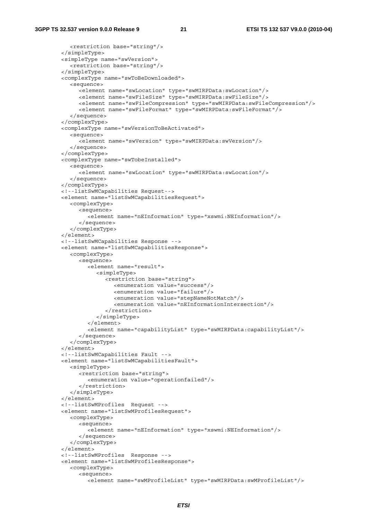```
 <restriction base="string"/> 
 </simpleType> 
 <simpleType name="swVersion"> 
   <restriction base="string"/> 
 </simpleType> 
 <complexType name="swToBeDownloaded"> 
   <sequence> 
      <element name="swLocation" type="swMIRPData:swLocation"/> 
      <element name="swFileSize" type="swMIRPData:swFileSize"/> 
      <element name="swFileCompression" type="swMIRPData:swFileCompression"/> 
      <element name="swFileFormat" type="swMIRPData:swFileFormat"/> 
   </sequence> 
 </complexType> 
 <complexType name="swVersionToBeActivated"> 
   <sequence> 
      <element name="swVersion" type="swMIRPData:swVersion"/> 
   </sequence> 
 </complexType> 
 <complexType name="swTobeInstalled"> 
   <sequence> 
      <element name="swLocation" type="swMIRPData:swLocation"/> 
   </sequence> 
 </complexType> 
 <!--listSwMCapabilities Request--> 
 <element name="listSwMCapabilitiesRequest"> 
   <complexType> 
      <sequence> 
         <element name="nEInformation" type="xswmi:NEInformation"/> 
      </sequence> 
   </complexType> 
 </element> 
 <!--listSwMCapabilities Response --> 
 <element name="listSwMCapabilitiesResponse"> 
   <complexType> 
      <sequence> 
         <element name="result"> 
            <simpleType> 
               <restriction base="string"> 
                  <enumeration value="success"/> 
                  <enumeration value="failure"/> 
                  <enumeration value="stepNameNotMatch"/> 
                  <enumeration value="nEInformationIntersection"/> 
               </restriction> 
            </simpleType> 
         </element> 
         <element name="capabilityList" type="swMIRPData:capabilityList"/> 
      </sequence> 
   </complexType> 
 </element> 
 <!--listSwMCapabilities Fault --> 
 <element name="listSwMCapabilitiesFault"> 
   <simpleType> 
      <restriction base="string"> 
         <enumeration value="operationfailed"/> 
      </restriction> 
   </simpleType> 
 </element> 
 <!--listSwMProfiles Request --> 
 <element name="listSwMProfilesRequest"> 
   <complexType> 
      <sequence> 
         <element name="nEInformation" type="xswmi:NEInformation"/> 
      </sequence> 
   </complexType> 
 </element> 
 <!--listSwMProfiles Response --> 
 <element name="listSwMProfilesResponse"> 
   <complexType> 
      <sequence> 
         <element name="swMProfileList" type="swMIRPData:swMProfileList"/>
```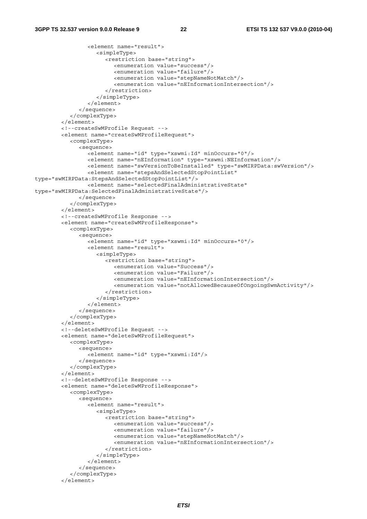```
 <element name="result"> 
                     <simpleType> 
                        <restriction base="string"> 
                           <enumeration value="success"/> 
                          <enumeration value="failure"/> 
                          <enumeration value="stepNameNotMatch"/> 
                          <enumeration value="nEInformationIntersection"/> 
                        </restriction> 
                     </simpleType> 
                  </element> 
               </sequence> 
            </complexType> 
         </element> 
         <!--createSwMProfile Request --> 
         <element name="createSwMProfileRequest"> 
            <complexType> 
               <sequence> 
                  <element name="id" type="xswmi:Id" minOccurs="0"/> 
                  <element name="nEInformation" type="xswmi:NEInformation"/> 
                  <element name="swVersionToBeInstalled" type="swMIRPData:swVersion"/> 
                  <element name="stepsAndSelectedStopPointList" 
type="swMIRPData:StepsAndSelectedStopPointList"/> 
                 <element name="selectedFinalAdministrativeState" 
type="swMIRPData:SelectedFinalAdministrativeState"/> 
               </sequence> 
            </complexType> 
         </element> 
         <!--createSwMProfile Response --> 
         <element name="createSwMProfileResponse"> 
            <complexType> 
               <sequence> 
                  <element name="id" type="xswmi:Id" minOccurs="0"/> 
                  <element name="result"> 
                     <simpleType> 
                        <restriction base="string"> 
                          <enumeration value="Success"/> 
                           <enumeration value="Failure"/> 
                          <enumeration value="nEInformationIntersection"/> 
                          <enumeration value="notAllowedBecauseOfOngoingSwmActivity"/> 
                        </restriction> 
                     </simpleType> 
                  </element> 
               </sequence> 
            </complexType> 
         </element> 
         <!--deleteSwMProfile Request --> 
         <element name="deleteSwMProfileRequest"> 
            <complexType> 
               <sequence> 
                 <element name="id" type="xswmi:Id"/>
               </sequence> 
            </complexType> 
         </element> 
         <!--deleteSwMProfile Response --> 
         <element name="deleteSwMProfileResponse"> 
            <complexType> 
               <sequence> 
                  <element name="result"> 
                     <simpleType> 
                        <restriction base="string"> 
                          <enumeration value="success"/> 
                          <enumeration value="failure"/> 
                          <enumeration value="stepNameNotMatch"/> 
                           <enumeration value="nEInformationIntersection"/> 
                        </restriction> 
                     </simpleType> 
                  </element> 
               </sequence> 
            </complexType> 
         </element>
```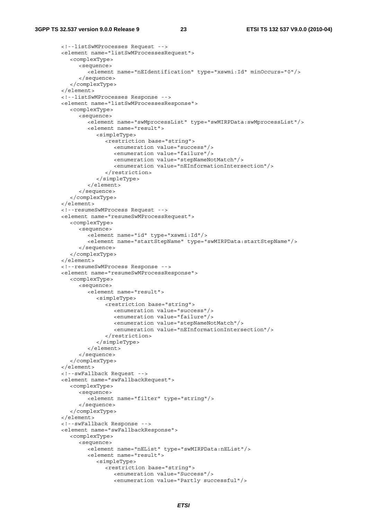```
 <!--listSwMProcesses Request --> 
 <element name="listSwMProcessesRequest"> 
   <complexType> 
      <sequence> 
         <element name="nEIdentification" type="xswmi:Id" minOccurs="0"/> 
      </sequence> 
   </complexType> 
 </element> 
 <!--listSwMProcesses Response --> 
 <element name="listSwMProcessesResponse"> 
   <complexType> 
      <sequence> 
         <element name="swMprocessList" type="swMIRPData:swMprocessList"/> 
         <element name="result"> 
            <simpleType> 
               <restriction base="string"> 
                  <enumeration value="success"/> 
                  <enumeration value="failure"/> 
                  <enumeration value="stepNameNotMatch"/> 
                  <enumeration value="nEInformationIntersection"/> 
               </restriction> 
            </simpleType> 
         </element> 
      </sequence> 
   </complexType> 
 </element> 
 <!--resumeSwMProcess Request --> 
 <element name="resumeSwMProcessRequest"> 
   <complexType> 
      <sequence> 
         <element name="id" type="xswmi:Id"/> 
         <element name="startStepName" type="swMIRPData:startStepName"/> 
      </sequence> 
   </complexType> 
 </element> 
 <!--resumeSwMProcess Response --> 
 <element name="resumeSwMProcessResponse"> 
   <complexType> 
      <sequence> 
         <element name="result"> 
            <simpleType> 
               <restriction base="string"> 
                  <enumeration value="success"/> 
                  <enumeration value="failure"/> 
                  <enumeration value="stepNameNotMatch"/> 
                  <enumeration value="nEInformationIntersection"/> 
               </restriction> 
            </simpleType> 
         </element> 
      </sequence> 
   </complexType> 
 </element> 
 <!--swFallback Request --> 
 <element name="swFallbackRequest"> 
   <complexType> 
      <sequence> 
         <element name="filter" type="string"/> 
      </sequence> 
   </complexType> 
\epsilon/element>
 <!--swFallback Response --> 
 <element name="swFallbackResponse"> 
   <complexType> 
      <sequence> 
         <element name="nEList" type="swMIRPData:nEList"/> 
         <element name="result"> 
            <simpleType> 
               <restriction base="string"> 
                  <enumeration value="Success"/> 
                  <enumeration value="Partly successful"/>
```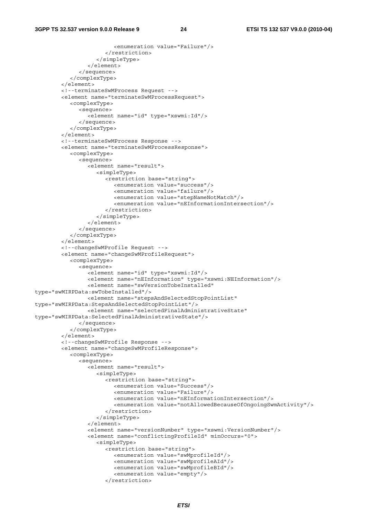```
 <enumeration value="Failure"/> 
                        </restriction> 
                     </simpleType> 
                  </element> 
               </sequence> 
            </complexType> 
         </element> 
         <!--terminateSwMProcess Request --> 
         <element name="terminateSwMProcessRequest"> 
            <complexType> 
               <sequence> 
                  <element name="id" type="xswmi:Id"/> 
               </sequence> 
            </complexType> 
         </element> 
         <!--terminateSwMProcess Response --> 
         <element name="terminateSwMProcessResponse"> 
            <complexType> 
               <sequence> 
                  <element name="result"> 
                     <simpleType> 
                        <restriction base="string"> 
                          <enumeration value="success"/> 
                          <enumeration value="failure"/> 
                          <enumeration value="stepNameNotMatch"/> 
                           <enumeration value="nEInformationIntersection"/> 
                        </restriction> 
                     </simpleType> 
                  </element> 
               </sequence> 
            </complexType> 
         </element> 
         <!--changeSwMProfile Request --> 
         <element name="changeSwMProfileRequest"> 
            <complexType> 
               <sequence> 
                  <element name="id" type="xswmi:Id"/> 
                  <element name="nEInformation" type="xswmi:NEInformation"/> 
                  <element name="swVersionTobeInstalled" 
type="swMIRPData:swTobeInstalled"/> 
                  <element name="stepsAndSelectedStopPointList" 
type="swMIRPData:StepsAndSelectedStopPointList"/> 
                  <element name="selectedFinalAdministrativeState" 
type="swMIRPData:SelectedFinalAdministrativeState"/> 
               </sequence> 
            </complexType> 
         </element> 
         <!--changeSwMProfile Response --> 
         <element name="changeSwMProfileResponse"> 
            <complexType> 
               <sequence> 
                  <element name="result"> 
                     <simpleType> 
                        <restriction base="string"> 
                          <enumeration value="Success"/> 
                          <enumeration value="Failure"/> 
                          <enumeration value="nEInformationIntersection"/> 
                          <enumeration value="notAllowedBecauseOfOngoingSwmActivity"/> 
                        </restriction> 
                     </simpleType> 
                  </element> 
                  <element name="versionNumber" type="xswmi:VersionNumber"/> 
                  <element name="conflictingProfileId" minOccurs="0"> 
                     <simpleType> 
                        <restriction base="string"> 
                          <enumeration value="swMprofileId"/> 
                          <enumeration value="swMprofileAId"/> 
                          <enumeration value="swMprofileBId"/> 
                           <enumeration value="empty"/> 
                        </restriction>
```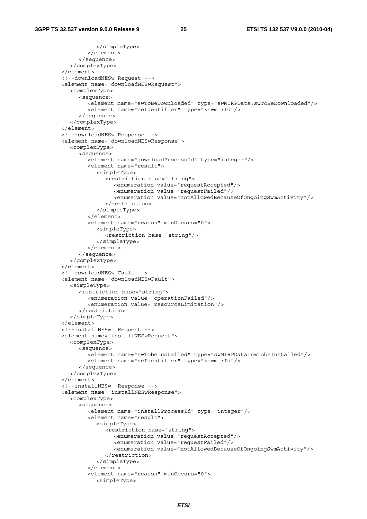</simpleType>

```
 </element> 
      </sequence> 
   </complexType> 
 </element> 
 <!--downloadNESw Request --> 
 <element name="downloadNESwRequest"> 
   <complexType> 
      <sequence> 
         <element name="swToBeDownloaded" type="swMIRPData:swToBeDownloaded"/> 
         <element name="neIdentifier" type="xswmi:Id"/> 
      </sequence> 
   </complexType> 
 </element> 
 <!--downloadNESw Response --> 
 <element name="downloadNESwResponse"> 
   <complexType> 
      <sequence> 
         <element name="downloadProcessId" type="integer"/> 
         <element name="result"> 
            <simpleType> 
               <restriction base="string"> 
                  <enumeration value="requestAccepted"/> 
                  <enumeration value="requestFailed"/> 
                  <enumeration value="notAllowedBecauseOfOngoingSwmActivity"/> 
               </restriction> 
            </simpleType> 
         </element> 
         <element name="reason" minOccurs="0"> 
            <simpleType> 
               <restriction base="string"/> 
            </simpleType> 
         </element> 
      </sequence> 
   </complexType> 
 </element> 
 <!--downloadNESw Fault --> 
 <element name="downloadNESwFault"> 
   <simpleType> 
      <restriction base="string"> 
         <enumeration value="operationFailed"/> 
         <enumeration value="resourceLimitation"/> 
      </restriction> 
   </simpleType> 
 </element> 
 <!--installNESw Request --> 
 <element name="installNESwRequest"> 
   <complexType> 
      <sequence> 
         <element name="swTobeInstalled" type="swMIRPData:swTobeInstalled"/> 
         <element name="neIdentifier" type="xswmi:Id"/> 
      </sequence> 
   </complexType> 
 </element> 
 <!--installNESw Response --> 
 <element name="installNESwResponse"> 
   <complexType> 
      <sequence> 
         <element name="installProcessId" type="integer"/> 
         <element name="result"> 
            <simpleType> 
               <restriction base="string"> 
                  <enumeration value="requestAccepted"/> 
                  <enumeration value="requestFailed"/> 
                  <enumeration value="notAllowedBecauseOfOngoingSwmActivity"/> 
               </restriction> 
            </simpleType> 
         </element> 
         <element name="reason" minOccurs="0"> 
            <simpleType>
```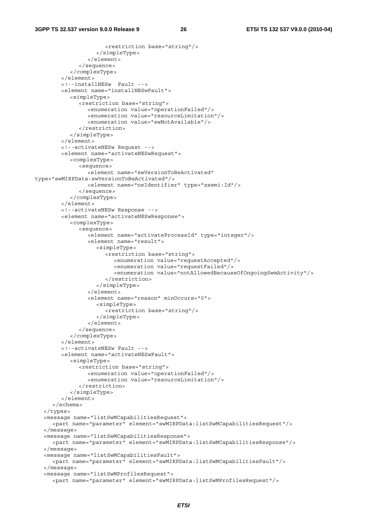```
 <restriction base="string"/> 
                     </simpleType> 
                  </element> 
               </sequence> 
            </complexType> 
         </element> 
         <!--installNESw Fault --> 
         <element name="installNESwFault"> 
            <simpleType> 
               <restriction base="string"> 
                  <enumeration value="operationFailed"/> 
                  <enumeration value="resourceLimitation"/> 
                  <enumeration value="swNotAvailable"/> 
               </restriction> 
            </simpleType> 
         </element> 
         <!--activateNESw Request --> 
         <element name="activateNESwRequest"> 
            <complexType> 
               <sequence> 
                  <element name="swVersionToBeActivated" 
type="swMIRPData:swVersionToBeActivated"/> 
                  <element name="neIdentifier" type="xswmi:Id"/> 
               </sequence> 
            </complexType> 
         </element> 
         <!--activateNESw Response --> 
         <element name="activateNESwResponse"> 
            <complexType> 
               <sequence> 
                  <element name="activateProcessId" type="integer"/> 
                  <element name="result"> 
                     <simpleType> 
                        <restriction base="string"> 
                           <enumeration value="requestAccepted"/> 
                           <enumeration value="requestFailed"/> 
                           <enumeration value="notAllowedBecauseOfOngoingSwmActivity"/> 
                        </restriction> 
                     </simpleType> 
                  </element> 
                  <element name="reason" minOccurs="0"> 
                     <simpleType> 
                        <restriction base="string"/> 
                     </simpleType> 
                  </element> 
               </sequence> 
            </complexType> 
        \epsilon/element>
         <!--activateNESw Fault --> 
         <element name="activateNESwFault"> 
            <simpleType> 
               <restriction base="string"> 
                  <enumeration value="operationFailed"/> 
                  <enumeration value="resourceLimitation"/> 
               </restriction> 
            </simpleType> 
         </element> 
      </schema> 
   </types> 
   <message name="listSwMCapabilitiesRequest"> 
      <part name="parameter" element="swMIRPData:listSwMCapabilitiesRequest"/> 
   </message> 
   <message name="listSwMCapabilitiesResponse"> 
      <part name="parameter" element="swMIRPData:listSwMCapabilitiesResponse"/> 
   </message> 
   <message name="listSwMCapabilitiesFault"> 
      <part name="parameter" element="swMIRPData:listSwMCapabilitiesFault"/> 
   </message> 
   <message name="listSwMProfilesRequest"> 
      <part name="parameter" element="swMIRPData:listSwMProfilesRequest"/>
```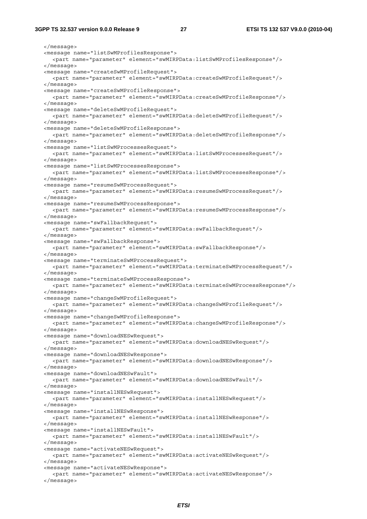</message> <message name="listSwMProfilesResponse"> <part name="parameter" element="swMIRPData:listSwMProfilesResponse"/> </message> <message name="createSwMProfileRequest"> <part name="parameter" element="swMIRPData:createSwMProfileRequest"/> </message> <message name="createSwMProfileResponse"> <part name="parameter" element="swMIRPData:createSwMProfileResponse"/> </message> <message name="deleteSwMProfileRequest"> <part name="parameter" element="swMIRPData:deleteSwMProfileRequest"/> </message> <message name="deleteSwMProfileResponse"> <part name="parameter" element="swMIRPData:deleteSwMProfileResponse"/> </message> <message name="listSwMProcessesRequest"> <part name="parameter" element="swMIRPData:listSwMProcessesRequest"/> </message> <message name="listSwMProcessesResponse"> <part name="parameter" element="swMIRPData:listSwMProcessesResponse"/> </message> <message name="resumeSwMProcessRequest"> <part name="parameter" element="swMIRPData:resumeSwMProcessRequest"/> </message> <message name="resumeSwMProcessResponse"> <part name="parameter" element="swMIRPData:resumeSwMProcessResponse"/> </message> <message name="swFallbackRequest"> <part name="parameter" element="swMIRPData:swFallbackRequest"/> </message> <message name="swFallbackResponse"> <part name="parameter" element="swMIRPData:swFallbackResponse"/> </message> <message name="terminateSwMProcessRequest"> <part name="parameter" element="swMIRPData:terminateSwMProcessRequest"/> </message> <message name="terminateSwMProcessResponse"> <part name="parameter" element="swMIRPData:terminateSwMProcessResponse"/> </message> <message name="changeSwMProfileRequest"> <part name="parameter" element="swMIRPData:changeSwMProfileRequest"/> </message> <message name="changeSwMProfileResponse"> <part name="parameter" element="swMIRPData:changeSwMProfileResponse"/> </message> <message name="downloadNESwRequest"> <part name="parameter" element="swMIRPData:downloadNESwRequest"/> </message> <message name="downloadNESwResponse"> <part name="parameter" element="swMIRPData:downloadNESwResponse"/> </message> <message name="downloadNESwFault"> <part name="parameter" element="swMIRPData:downloadNESwFault"/> </message> <message name="installNESwRequest"> <part name="parameter" element="swMIRPData:installNESwRequest"/> </message> <message name="installNESwResponse"> <part name="parameter" element="swMIRPData:installNESwResponse"/> </message> <message name="installNESwFault"> <part name="parameter" element="swMIRPData:installNESwFault"/> </message> <message name="activateNESwRequest"> <part name="parameter" element="swMIRPData:activateNESwRequest"/> </message> <message name="activateNESwResponse"> <part name="parameter" element="swMIRPData:activateNESwResponse"/> </message>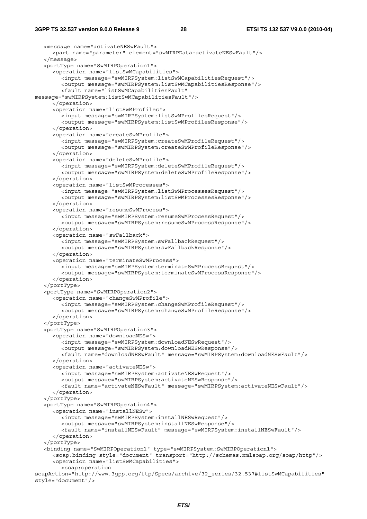#### **3GPP TS 32.537 version 9.0.0 Release 9 28 ETSI TS 132 537 V9.0.0 (2010-04)**

```
 <message name="activateNESwFault"> 
      <part name="parameter" element="swMIRPData:activateNESwFault"/> 
   </message> 
   <portType name="SwMIRPOperation1"> 
      <operation name="listSwMCapabilities"> 
         <input message="swMIRPSystem:listSwMCapabilitiesRequest"/> 
         <output message="swMIRPSystem:listSwMCapabilitiesResponse"/> 
         <fault name="listSwMCapabilitiesFault" 
message="swMIRPSystem:listSwMCapabilitiesFault"/> 
      </operation> 
      <operation name="listSwMProfiles"> 
         <input message="swMIRPSystem:listSwMProfilesRequest"/> 
         <output message="swMIRPSystem:listSwMProfilesResponse"/> 
      </operation> 
      <operation name="createSwMProfile"> 
         <input message="swMIRPSystem:createSwMProfileRequest"/> 
         <output message="swMIRPSystem:createSwMProfileResponse"/> 
      </operation> 
      <operation name="deleteSwMProfile"> 
         <input message="swMIRPSystem:deleteSwMProfileRequest"/> 
         <output message="swMIRPSystem:deleteSwMProfileResponse"/> 
      </operation> 
      <operation name="listSwMProcesses"> 
         <input message="swMIRPSystem:listSwMProcessesRequest"/> 
         <output message="swMIRPSystem:listSwMProcessesResponse"/> 
      </operation> 
      <operation name="resumeSwMProcess"> 
         <input message="swMIRPSystem:resumeSwMProcessRequest"/> 
         <output message="swMIRPSystem:resumeSwMProcessResponse"/> 
      </operation> 
      <operation name="swFallback"> 
         <input message="swMIRPSystem:swFallbackRequest"/> 
         <output message="swMIRPSystem:swFallbackResponse"/> 
      </operation> 
      <operation name="terminateSwMProcess"> 
         <input message="swMIRPSystem:terminateSwMProcessRequest"/> 
         <output message="swMIRPSystem:terminateSwMProcessResponse"/> 
      </operation> 
   </portType> 
   <portType name="SwMIRPOperation2"> 
      <operation name="changeSwMProfile"> 
         <input message="swMIRPSystem:changeSwMProfileRequest"/> 
         <output message="swMIRPSystem:changeSwMProfileResponse"/> 
      </operation> 
   </portType> 
   <portType name="SwMIRPOperation3"> 
      <operation name="downloadNESw"> 
         <input message="swMIRPSystem:downloadNESwRequest"/> 
         <output message="swMIRPSystem:downloadNESwResponse"/> 
         <fault name="downloadNESwFault" message="swMIRPSystem:downloadNESwFault"/> 
      </operation> 
      <operation name="activateNESw"> 
         <input message="swMIRPSystem:activateNESwRequest"/> 
         <output message="swMIRPSystem:activateNESwResponse"/> 
         <fault name="activateNESwFault" message="swMIRPSystem:activateNESwFault"/> 
      </operation> 
   </portType> 
   <portType name="SwMIRPOperation4"> 
      <operation name="installNESw"> 
         <input message="swMIRPSystem:installNESwRequest"/> 
         <output message="swMIRPSystem:installNESwResponse"/> 
         <fault name="installNESwFault" message="swMIRPSystem:installNESwFault"/> 
      </operation> 
   </portType> 
   <binding name="SwMIRPOperation1" type="swMIRPSystem:SwMIRPOperation1"> 
      <soap:binding style="document" transport="http://schemas.xmlsoap.org/soap/http"/> 
      <operation name="listSwMCapabilities"> 
         <soap:operation 
soapAction="http://www.3gpp.org/ftp/Specs/archive/32_series/32.537#listSwMCapabilities" 
style="document"/>
```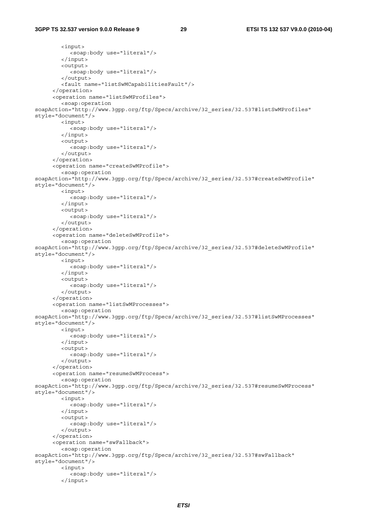#### **3GPP TS 32.537 version 9.0.0 Release 9 29 ETSI TS 132 537 V9.0.0 (2010-04)**

 <input> <soap:body use="literal"/> </input> <output> <soap:body use="literal"/> </output> <fault name="listSwMCapabilitiesFault"/> </operation> <operation name="listSwMProfiles"> <soap:operation soapAction="http://www.3gpp.org/ftp/Specs/archive/32\_series/32.537#listSwMProfiles" style="document"/> <input> <soap:body use="literal"/> </input> <output> <soap:body use="literal"/> </output> </operation> <operation name="createSwMProfile"> <soap:operation soapAction="http://www.3gpp.org/ftp/Specs/archive/32\_series/32.537#createSwMProfile" style="document"/> <input> <soap:body use="literal"/> </input> <output> <soap:body use="literal"/> </output> </operation> <operation name="deleteSwMProfile"> <soap:operation soapAction="http://www.3gpp.org/ftp/Specs/archive/32\_series/32.537#deleteSwMProfile" style="document"/> <input> <soap:body use="literal"/> </input> <output> <soap:body use="literal"/> </output> </operation> <operation name="listSwMProcesses"> <soap:operation soapAction="http://www.3gpp.org/ftp/Specs/archive/32\_series/32.537#listSwMProcesses" style="document"/> <input> <soap:body use="literal"/> </input> <output> <soap:body use="literal"/> </output> </operation> <operation name="resumeSwMProcess"> <soap:operation soapAction="http://www.3gpp.org/ftp/Specs/archive/32\_series/32.537#resumeSwMProcess" style="document"/> <input> <soap:body use="literal"/> </input> <output> <soap:body use="literal"/> </output> </operation> <operation name="swFallback"> <soap:operation soapAction="http://www.3gpp.org/ftp/Specs/archive/32\_series/32.537#swFallback" style="document"/> <input> <soap:body use="literal"/> </input>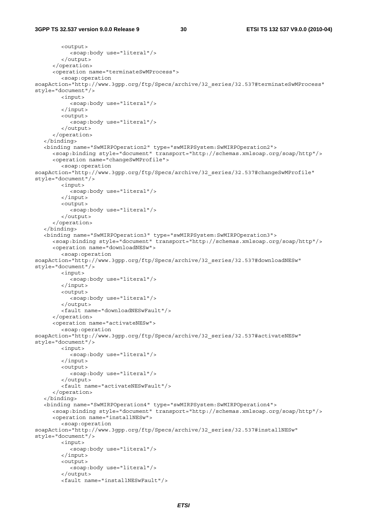#### **3GPP TS 32.537 version 9.0.0 Release 9 30 ETSI TS 132 537 V9.0.0 (2010-04)**

```
 <output> 
            <soap:body use="literal"/> 
         </output> 
      </operation> 
      <operation name="terminateSwMProcess"> 
         <soap:operation 
soapAction="http://www.3gpp.org/ftp/Specs/archive/32_series/32.537#terminateSwMProcess" 
style="document"/> 
         <input> 
            <soap:body use="literal"/> 
         </input> 
         <output> 
            <soap:body use="literal"/> 
         </output> 
      </operation> 
   </binding> 
   <binding name="SwMIRPOperation2" type="swMIRPSystem:SwMIRPOperation2"> 
      <soap:binding style="document" transport="http://schemas.xmlsoap.org/soap/http"/> 
      <operation name="changeSwMProfile"> 
         <soap:operation 
soapAction="http://www.3gpp.org/ftp/Specs/archive/32_series/32.537#changeSwMProfile" 
style="document"/> 
         <input> 
            <soap:body use="literal"/> 
         </input> 
         <output> 
            <soap:body use="literal"/> 
         </output> 
      </operation> 
   </binding> 
   <binding name="SwMIRPOperation3" type="swMIRPSystem:SwMIRPOperation3"> 
      <soap:binding style="document" transport="http://schemas.xmlsoap.org/soap/http"/> 
      <operation name="downloadNESw"> 
         <soap:operation 
soapAction="http://www.3gpp.org/ftp/Specs/archive/32_series/32.537#downloadNESw" 
style="document"/> 
         <input> 
            <soap:body use="literal"/> 
         </input> 
         <output> 
            <soap:body use="literal"/> 
         </output> 
         <fault name="downloadNESwFault"/> 
      </operation> 
      <operation name="activateNESw"> 
         <soap:operation 
soapAction="http://www.3gpp.org/ftp/Specs/archive/32_series/32.537#activateNESw" 
style="document"/> 
         <input> 
            <soap:body use="literal"/> 
         </input> 
         <output> 
            <soap:body use="literal"/> 
         </output> 
         <fault name="activateNESwFault"/> 
      </operation> 
   </binding> 
   <binding name="SwMIRPOperation4" type="swMIRPSystem:SwMIRPOperation4"> 
      <soap:binding style="document" transport="http://schemas.xmlsoap.org/soap/http"/> 
      <operation name="installNESw"> 
         <soap:operation 
soapAction="http://www.3gpp.org/ftp/Specs/archive/32_series/32.537#installNESw"
style="document"/> 
         <input> 
            <soap:body use="literal"/> 
         </input> 
         <output> 
            <soap:body use="literal"/> 
         </output> 
         <fault name="installNESwFault"/>
```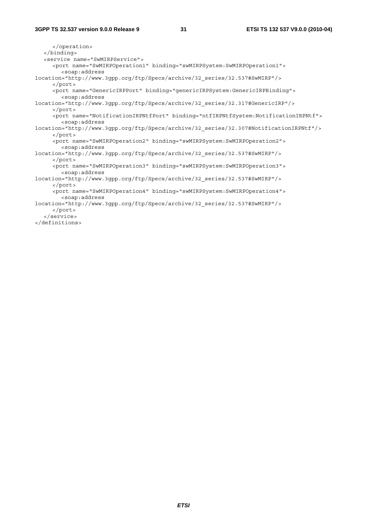</operation> </binding> <service name="SwMIRPService"> <port name="SwMIRPOperation1" binding="swMIRPSystem:SwMIRPOperation1"> <soap:address location="http://www.3gpp.org/ftp/Specs/archive/32\_series/32.537#SwMIRP"/> </port> <port name="GenericIRPPort" binding="genericIRPSystem:GenericIRPBinding"> <soap:address location="http://www.3gpp.org/ftp/Specs/archive/32\_series/32.317#GenericIRP"/> </port> <port name="NotificationIRPNtfPort" binding="ntfIRPNtfSystem:NotificationIRPNtf"> <soap:address location="http://www.3gpp.org/ftp/Specs/archive/32\_series/32.307#NotificationIRPNtf"/> </port> <port name="SwMIRPOperation2" binding="swMIRPSystem:SwMIRPOperation2"> <soap:address location="http://www.3gpp.org/ftp/Specs/archive/32\_series/32.537#SwMIRP"/> </port> <port name="SwMIRPOperation3" binding="swMIRPSystem:SwMIRPOperation3"> <soap:address location="http://www.3gpp.org/ftp/Specs/archive/32\_series/32.537#SwMIRP"/> </port> <port name="SwMIRPOperation4" binding="swMIRPSystem:SwMIRPOperation4"> <soap:address location="http://www.3gpp.org/ftp/Specs/archive/32\_series/32.537#SwMIRP"/> </port> </service> </definitions>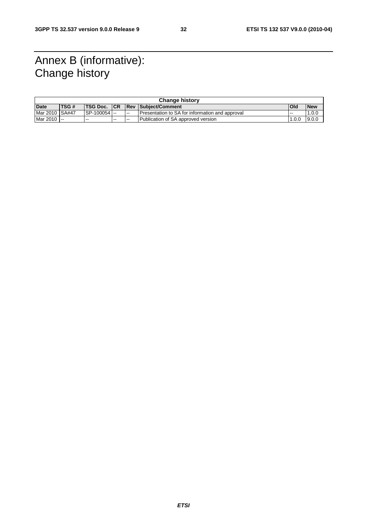# Annex B (informative): Change history

| <b>Change history</b> |             |                      |   |               |                                                 |        |            |  |
|-----------------------|-------------|----------------------|---|---------------|-------------------------------------------------|--------|------------|--|
| <b>Date</b>           | <b>TSG#</b> | <b>ITSG Doc. ICR</b> |   |               | <b>Rev Subiect/Comment</b>                      | Old    | <b>New</b> |  |
| Mar 2010 SA#47        |             | SP-100054            |   | $\sim$ $\sim$ | Presentation to SA for information and approval | $- -$  | 0.01       |  |
| Mar 2010 --           |             | l --                 | . | $\sim$        | Publication of SA approved version              | 11.0.0 | 9.0.0      |  |